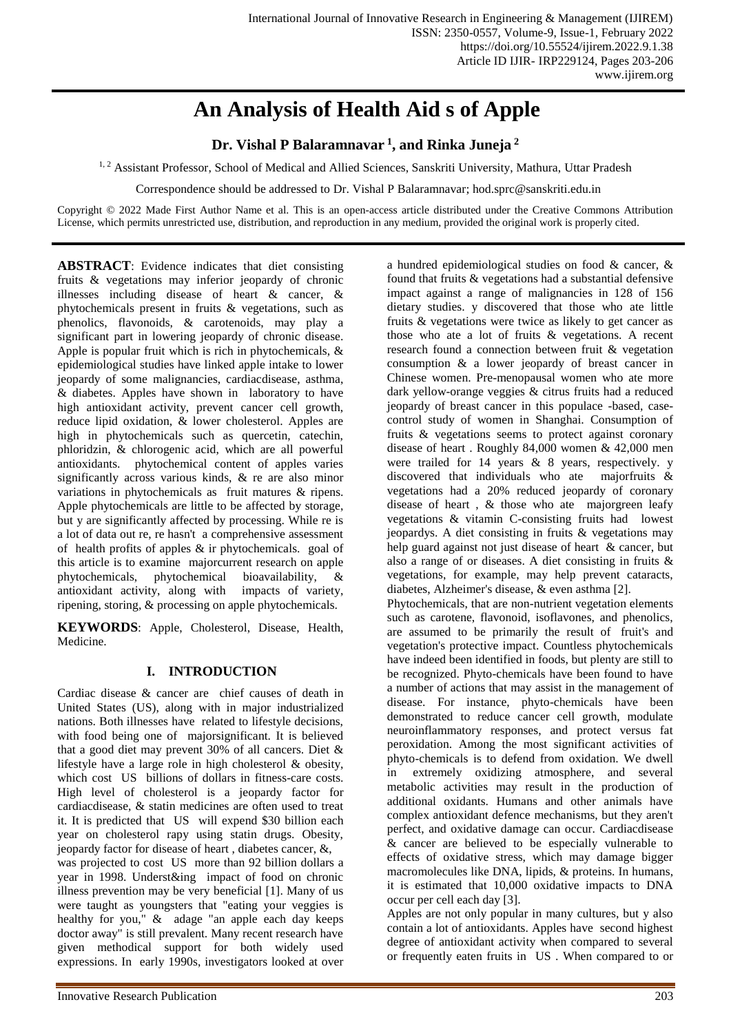# **An Analysis of Health Aid s of Apple**

**Dr. Vishal P Balaramnavar <sup>1</sup> , and Rinka Juneja <sup>2</sup>**

<sup>1, 2</sup> Assistant Professor, School of Medical and Allied Sciences, Sanskriti University, Mathura, Uttar Pradesh

Correspondence should be addressed to Dr. Vishal P Balaramnavar; hod.sprc@sanskriti.edu.in

Copyright © 2022 Made First Author Name et al. This is an open-access article distributed under the Creative Commons Attribution License, which permits unrestricted use, distribution, and reproduction in any medium, provided the original work is properly cited.

**ABSTRACT**: Evidence indicates that diet consisting fruits & vegetations may inferior jeopardy of chronic illnesses including disease of heart & cancer, & phytochemicals present in fruits & vegetations, such as phenolics, flavonoids, & carotenoids, may play a significant part in lowering jeopardy of chronic disease. Apple is popular fruit which is rich in phytochemicals, & epidemiological studies have linked apple intake to lower jeopardy of some malignancies, cardiacdisease, asthma, & diabetes. Apples have shown in laboratory to have high antioxidant activity, prevent cancer cell growth, reduce lipid oxidation, & lower cholesterol. Apples are high in phytochemicals such as quercetin, catechin, phloridzin, & chlorogenic acid, which are all powerful antioxidants. phytochemical content of apples varies significantly across various kinds, & re are also minor variations in phytochemicals as fruit matures & ripens. Apple phytochemicals are little to be affected by storage, but y are significantly affected by processing. While re is a lot of data out re, re hasn't a comprehensive assessment of health profits of apples  $\&$  ir phytochemicals. goal of this article is to examine majorcurrent research on apple phytochemicals, phytochemical bioavailability, & antioxidant activity, along with impacts of variety, ripening, storing, & processing on apple phytochemicals.

**KEYWORDS**: Apple, Cholesterol, Disease, Health, Medicine.

#### **I. INTRODUCTION**

Cardiac disease & cancer are chief causes of death in United States (US), along with in major industrialized nations. Both illnesses have related to lifestyle decisions, with food being one of majorsignificant. It is believed that a good diet may prevent 30% of all cancers. Diet & lifestyle have a large role in high cholesterol & obesity, which cost US billions of dollars in fitness-care costs. High level of cholesterol is a jeopardy factor for cardiacdisease, & statin medicines are often used to treat it. It is predicted that US will expend \$30 billion each year on cholesterol rapy using statin drugs. Obesity, jeopardy factor for disease of heart , diabetes cancer, &, was projected to cost US more than 92 billion dollars a year in 1998. Underst&ing impact of food on chronic illness prevention may be very beneficial [1]. Many of us were taught as youngsters that "eating your veggies is healthy for you," & adage "an apple each day keeps doctor away" is still prevalent. Many recent research have given methodical support for both widely used expressions. In early 1990s, investigators looked at over

a hundred epidemiological studies on food & cancer, & found that fruits & vegetations had a substantial defensive impact against a range of malignancies in 128 of 156 dietary studies. y discovered that those who ate little fruits & vegetations were twice as likely to get cancer as those who ate a lot of fruits & vegetations. A recent research found a connection between fruit & vegetation consumption & a lower jeopardy of breast cancer in Chinese women. Pre-menopausal women who ate more dark yellow-orange veggies & citrus fruits had a reduced jeopardy of breast cancer in this populace -based, casecontrol study of women in Shanghai. Consumption of fruits & vegetations seems to protect against coronary disease of heart . Roughly 84,000 women & 42,000 men were trailed for 14 years & 8 years, respectively. y discovered that individuals who ate majorfruits & vegetations had a 20% reduced jeopardy of coronary disease of heart , & those who ate majorgreen leafy vegetations & vitamin C-consisting fruits had lowest jeopardys. A diet consisting in fruits & vegetations may help guard against not just disease of heart & cancer, but also a range of or diseases. A diet consisting in fruits & vegetations, for example, may help prevent cataracts, diabetes, Alzheimer's disease, & even asthma [2].

Phytochemicals, that are non-nutrient vegetation elements such as carotene, flavonoid, isoflavones, and phenolics, are assumed to be primarily the result of fruit's and vegetation's protective impact. Countless phytochemicals have indeed been identified in foods, but plenty are still to be recognized. Phyto-chemicals have been found to have a number of actions that may assist in the management of disease. For instance, phyto-chemicals have been demonstrated to reduce cancer cell growth, modulate neuroinflammatory responses, and protect versus fat peroxidation. Among the most significant activities of phyto-chemicals is to defend from oxidation. We dwell in extremely oxidizing atmosphere, and several metabolic activities may result in the production of additional oxidants. Humans and other animals have complex antioxidant defence mechanisms, but they aren't perfect, and oxidative damage can occur. Cardiacdisease & cancer are believed to be especially vulnerable to effects of oxidative stress, which may damage bigger macromolecules like DNA, lipids, & proteins. In humans, it is estimated that 10,000 oxidative impacts to DNA occur per cell each day [3].

Apples are not only popular in many cultures, but y also contain a lot of antioxidants. Apples have second highest degree of antioxidant activity when compared to several or frequently eaten fruits in US . When compared to or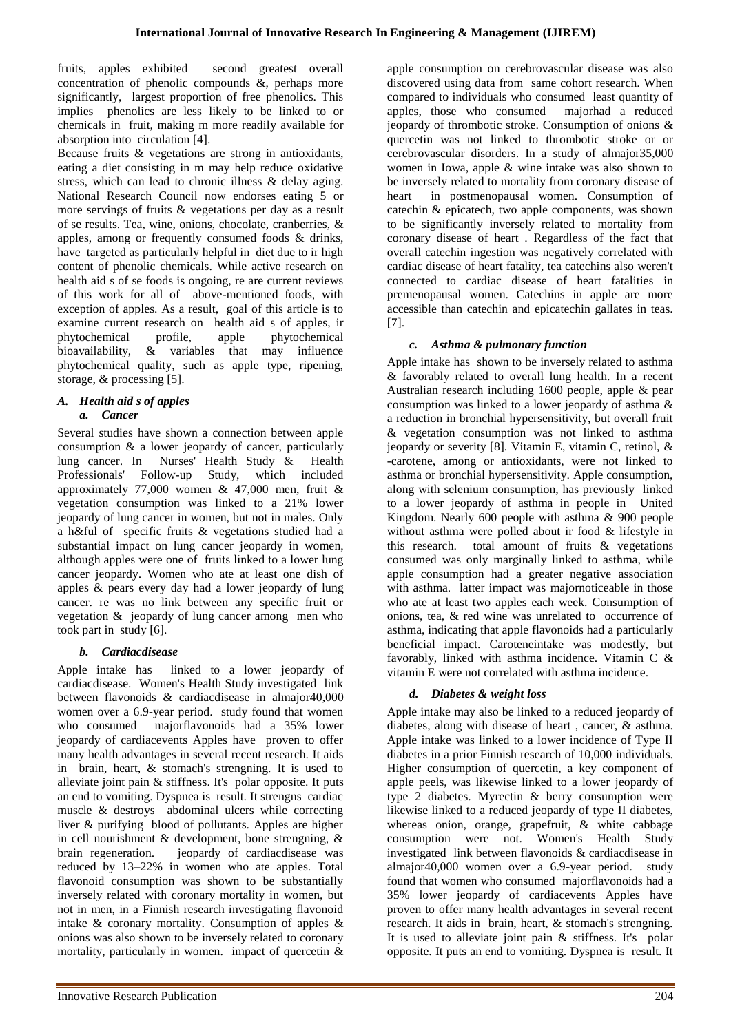fruits, apples exhibited second greatest overall concentration of phenolic compounds &, perhaps more significantly, largest proportion of free phenolics. This implies phenolics are less likely to be linked to or chemicals in fruit, making m more readily available for absorption into circulation [4].

Because fruits & vegetations are strong in antioxidants, eating a diet consisting in m may help reduce oxidative stress, which can lead to chronic illness & delay aging. National Research Council now endorses eating 5 or more servings of fruits & vegetations per day as a result of se results. Tea, wine, onions, chocolate, cranberries, & apples, among or frequently consumed foods & drinks, have targeted as particularly helpful in diet due to ir high content of phenolic chemicals. While active research on health aid s of se foods is ongoing, re are current reviews of this work for all of above-mentioned foods, with exception of apples. As a result, goal of this article is to examine current research on health aid s of apples, ir phytochemical profile, apple phytochemical bioavailability, & variables that may influence phytochemical quality, such as apple type, ripening, storage, & processing [5].

#### *A. Health aid s of apples a. Cancer*

Several studies have shown a connection between apple consumption & a lower jeopardy of cancer, particularly lung cancer. In Nurses' Health Study & Health Professionals' Follow-up Study, which included approximately 77,000 women & 47,000 men, fruit & vegetation consumption was linked to a 21% lower jeopardy of lung cancer in women, but not in males. Only a h&ful of specific fruits & vegetations studied had a substantial impact on lung cancer jeopardy in women, although apples were one of fruits linked to a lower lung cancer jeopardy. Women who ate at least one dish of apples & pears every day had a lower jeopardy of lung cancer. re was no link between any specific fruit or vegetation & jeopardy of lung cancer among men who took part in study [6].

## *b. Cardiacdisease*

Apple intake has linked to a lower jeopardy of cardiacdisease. Women's Health Study investigated link between flavonoids & cardiacdisease in almajor40,000 women over a 6.9-year period. study found that women who consumed majorflavonoids had a 35% lower jeopardy of cardiacevents Apples have proven to offer many health advantages in several recent research. It aids in brain, heart, & stomach's strengning. It is used to alleviate joint pain & stiffness. It's polar opposite. It puts an end to vomiting. Dyspnea is result. It strengns cardiac muscle & destroys abdominal ulcers while correcting liver & purifying blood of pollutants. Apples are higher in cell nourishment & development, bone strengning, & brain regeneration. jeopardy of cardiacdisease was reduced by 13–22% in women who ate apples. Total flavonoid consumption was shown to be substantially inversely related with coronary mortality in women, but not in men, in a Finnish research investigating flavonoid intake & coronary mortality. Consumption of apples & onions was also shown to be inversely related to coronary mortality, particularly in women. impact of quercetin  $\&$ 

apple consumption on cerebrovascular disease was also discovered using data from same cohort research. When compared to individuals who consumed least quantity of apples, those who consumed majorhad a reduced jeopardy of thrombotic stroke. Consumption of onions & quercetin was not linked to thrombotic stroke or or cerebrovascular disorders. In a study of almajor35,000 women in Iowa, apple & wine intake was also shown to be inversely related to mortality from coronary disease of heart in postmenopausal women. Consumption of catechin & epicatech, two apple components, was shown to be significantly inversely related to mortality from coronary disease of heart . Regardless of the fact that overall catechin ingestion was negatively correlated with cardiac disease of heart fatality, tea catechins also weren't connected to cardiac disease of heart fatalities in premenopausal women. Catechins in apple are more accessible than catechin and epicatechin gallates in teas. [7].

### *c. Asthma & pulmonary function*

Apple intake has shown to be inversely related to asthma & favorably related to overall lung health. In a recent Australian research including 1600 people, apple & pear consumption was linked to a lower jeopardy of asthma & a reduction in bronchial hypersensitivity, but overall fruit & vegetation consumption was not linked to asthma jeopardy or severity [8]. Vitamin E, vitamin C, retinol, & -carotene, among or antioxidants, were not linked to asthma or bronchial hypersensitivity. Apple consumption, along with selenium consumption, has previously linked to a lower jeopardy of asthma in people in United Kingdom. Nearly 600 people with asthma & 900 people without asthma were polled about ir food & lifestyle in this research. total amount of fruits & vegetations consumed was only marginally linked to asthma, while apple consumption had a greater negative association with asthma. latter impact was majornoticeable in those who ate at least two apples each week. Consumption of onions, tea, & red wine was unrelated to occurrence of asthma, indicating that apple flavonoids had a particularly beneficial impact. Caroteneintake was modestly, but favorably, linked with asthma incidence. Vitamin C & vitamin E were not correlated with asthma incidence.

## *d. Diabetes & weight loss*

Apple intake may also be linked to a reduced jeopardy of diabetes, along with disease of heart , cancer, & asthma. Apple intake was linked to a lower incidence of Type II diabetes in a prior Finnish research of 10,000 individuals. Higher consumption of quercetin, a key component of apple peels, was likewise linked to a lower jeopardy of type 2 diabetes. Myrectin & berry consumption were likewise linked to a reduced jeopardy of type II diabetes, whereas onion, orange, grapefruit, & white cabbage consumption were not. Women's Health Study investigated link between flavonoids & cardiacdisease in almajor40,000 women over a 6.9-year period. study found that women who consumed majorflavonoids had a 35% lower jeopardy of cardiacevents Apples have proven to offer many health advantages in several recent research. It aids in brain, heart, & stomach's strengning. It is used to alleviate joint pain & stiffness. It's polar opposite. It puts an end to vomiting. Dyspnea is result. It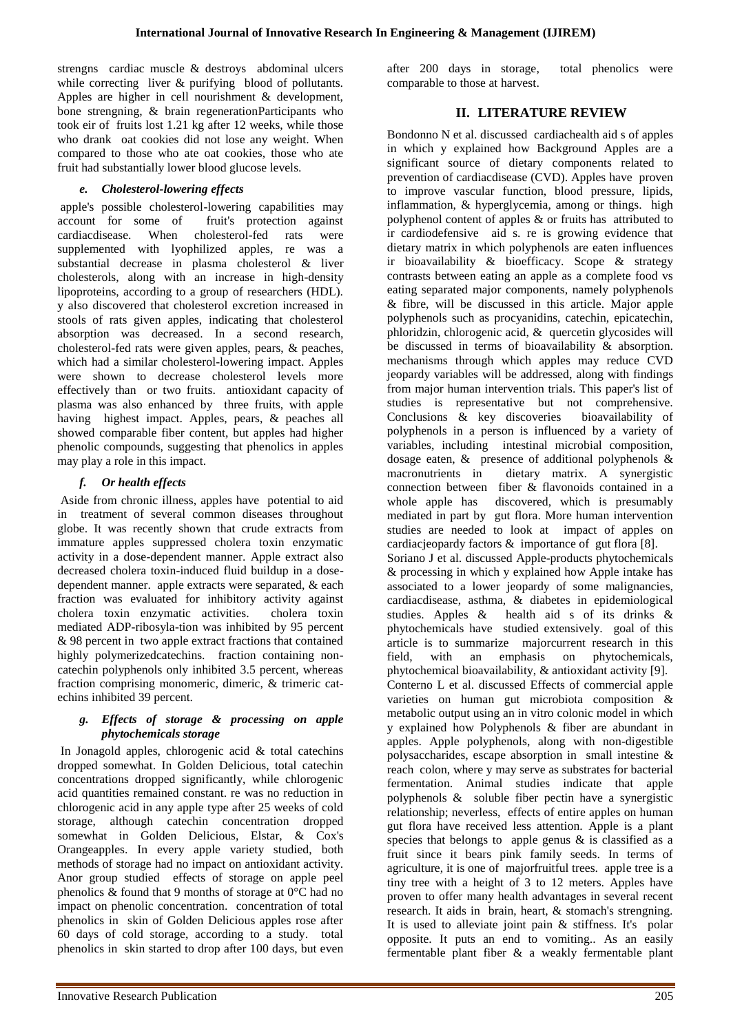strengns cardiac muscle & destroys abdominal ulcers while correcting liver & purifying blood of pollutants. Apples are higher in cell nourishment & development, bone strengning, & brain regenerationParticipants who took eir of fruits lost 1.21 kg after 12 weeks, while those who drank oat cookies did not lose any weight. When compared to those who ate oat cookies, those who ate fruit had substantially lower blood glucose levels.

## *e. Cholesterol-lowering effects*

apple's possible cholesterol-lowering capabilities may account for some of fruit's protection against cardiacdisease. When cholesterol-fed rats were supplemented with lyophilized apples, re was a substantial decrease in plasma cholesterol & liver cholesterols, along with an increase in high-density lipoproteins, according to a group of researchers (HDL). y also discovered that cholesterol excretion increased in stools of rats given apples, indicating that cholesterol absorption was decreased. In a second research, cholesterol-fed rats were given apples, pears, & peaches, which had a similar cholesterol-lowering impact. Apples were shown to decrease cholesterol levels more effectively than or two fruits. antioxidant capacity of plasma was also enhanced by three fruits, with apple having highest impact. Apples, pears, & peaches all showed comparable fiber content, but apples had higher phenolic compounds, suggesting that phenolics in apples may play a role in this impact.

### *f. Or health effects*

Aside from chronic illness, apples have potential to aid in treatment of several common diseases throughout globe. It was recently shown that crude extracts from immature apples suppressed cholera toxin enzymatic activity in a dose-dependent manner. Apple extract also decreased cholera toxin-induced fluid buildup in a dosedependent manner. apple extracts were separated, & each fraction was evaluated for inhibitory activity against cholera toxin enzymatic activities. cholera toxin mediated ADP-ribosyla-tion was inhibited by 95 percent & 98 percent in two apple extract fractions that contained highly polymerizedcatechins. fraction containing noncatechin polyphenols only inhibited 3.5 percent, whereas fraction comprising monomeric, dimeric, & trimeric catechins inhibited 39 percent.

#### *g. Effects of storage & processing on apple phytochemicals storage*

In Jonagold apples, chlorogenic acid & total catechins dropped somewhat. In Golden Delicious, total catechin concentrations dropped significantly, while chlorogenic acid quantities remained constant. re was no reduction in chlorogenic acid in any apple type after 25 weeks of cold storage, although catechin concentration dropped somewhat in Golden Delicious, Elstar, & Cox's Orangeapples. In every apple variety studied, both methods of storage had no impact on antioxidant activity. Anor group studied effects of storage on apple peel phenolics & found that 9 months of storage at 0°C had no impact on phenolic concentration. concentration of total phenolics in skin of Golden Delicious apples rose after 60 days of cold storage, according to a study. total phenolics in skin started to drop after 100 days, but even

after 200 days in storage, total phenolics were comparable to those at harvest.

## **II. LITERATURE REVIEW**

Bondonno N et al. discussed cardiachealth aid s of apples in which y explained how Background Apples are a significant source of dietary components related to prevention of cardiacdisease (CVD). Apples have proven to improve vascular function, blood pressure, lipids, inflammation, & hyperglycemia, among or things. high polyphenol content of apples & or fruits has attributed to ir cardiodefensive aid s. re is growing evidence that dietary matrix in which polyphenols are eaten influences ir bioavailability & bioefficacy. Scope & strategy contrasts between eating an apple as a complete food vs eating separated major components, namely polyphenols & fibre, will be discussed in this article. Major apple polyphenols such as procyanidins, catechin, epicatechin, phloridzin, chlorogenic acid, & quercetin glycosides will be discussed in terms of bioavailability & absorption. mechanisms through which apples may reduce CVD jeopardy variables will be addressed, along with findings from major human intervention trials. This paper's list of studies is representative but not comprehensive. Conclusions & key discoveries bioavailability of polyphenols in a person is influenced by a variety of variables, including intestinal microbial composition, dosage eaten, & presence of additional polyphenols & macronutrients in dietary matrix. A synergistic connection between fiber & flavonoids contained in a whole apple has discovered, which is presumably mediated in part by gut flora. More human intervention studies are needed to look at impact of apples on cardiacjeopardy factors & importance of gut flora [8]. Soriano J et al. discussed Apple-products phytochemicals & processing in which y explained how Apple intake has associated to a lower jeopardy of some malignancies, cardiacdisease, asthma, & diabetes in epidemiological studies. Apples & health aid s of its drinks & phytochemicals have studied extensively. goal of this article is to summarize majorcurrent research in this field, with an emphasis on phytochemicals, phytochemical bioavailability, & antioxidant activity [9]. Conterno L et al. discussed Effects of commercial apple varieties on human gut microbiota composition & metabolic output using an in vitro colonic model in which y explained how Polyphenols & fiber are abundant in apples. Apple polyphenols, along with non-digestible polysaccharides, escape absorption in small intestine & reach colon, where y may serve as substrates for bacterial fermentation. Animal studies indicate that apple polyphenols  $\&$  soluble fiber pectin have a synergistic relationship; neverless, effects of entire apples on human gut flora have received less attention. Apple is a plant species that belongs to apple genus  $\&$  is classified as a fruit since it bears pink family seeds. In terms of agriculture, it is one of majorfruitful trees. apple tree is a tiny tree with a height of 3 to 12 meters. Apples have proven to offer many health advantages in several recent research. It aids in brain, heart, & stomach's strengning. It is used to alleviate joint pain & stiffness. It's polar opposite. It puts an end to vomiting.. As an easily fermentable plant fiber & a weakly fermentable plant